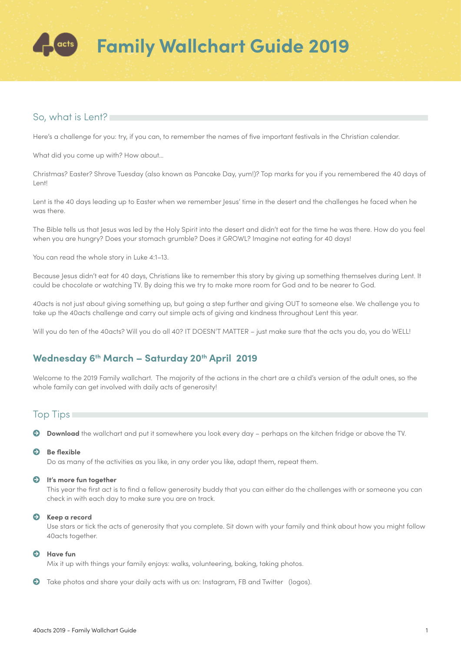

## So, what is Lent?

Here's a challenge for you: try, if you can, to remember the names of five important festivals in the Christian calendar.

What did you come up with? How about…

Christmas? Easter? Shrove Tuesday (also known as Pancake Day, yum!)? Top marks for you if you remembered the 40 days of Lent!

Lent is the 40 days leading up to Easter when we remember Jesus' time in the desert and the challenges he faced when he was there.

The Bible tells us that Jesus was led by the Holy Spirit into the desert and didn't eat for the time he was there. How do you feel when you are hungry? Does your stomach grumble? Does it GROWL? Imagine not eating for 40 days!

You can read the whole story in Luke 4:1–13.

Because Jesus didn't eat for 40 days, Christians like to remember this story by giving up something themselves during Lent. It could be chocolate or watching TV. By doing this we try to make more room for God and to be nearer to God.

40acts is not just about giving something up, but going a step further and giving OUT to someone else. We challenge you to take up the 40acts challenge and carry out simple acts of giving and kindness throughout Lent this year.

Will you do ten of the 40acts? Will you do all 40? IT DOESN'T MATTER - just make sure that the acts you do, you do WELL!

## Wednesday 6<sup>th</sup> March - Saturday 20<sup>th</sup> April 2019

Welcome to the 2019 Family wallchart. The majority of the actions in the chart are a child's version of the adult ones, so the whole family can get involved with daily acts of generosity!

### Top Tips

**Download** the wallchart and put it somewhere you look every day – perhaps on the kitchen fridge or above the TV.

### $\bullet$  Be flexible

Do as many of the activities as you like, in any order you like, adapt them, repeat them.

### Ã **It's more fun together**

This year the first act is to find a fellow generosity buddy that you can either do the challenges with or someone you can check in with each day to make sure you are on track.

#### Ã **Keep a record**

Use stars or tick the acts of generosity that you complete. Sit down with your family and think about how you might follow 40acts together.

#### Ã **Have fun**

Mix it up with things your family enjoys: walks, volunteering, baking, taking photos.

 $\bullet$  Take photos and share your daily acts with us on: Instagram, FB and Twitter (logos).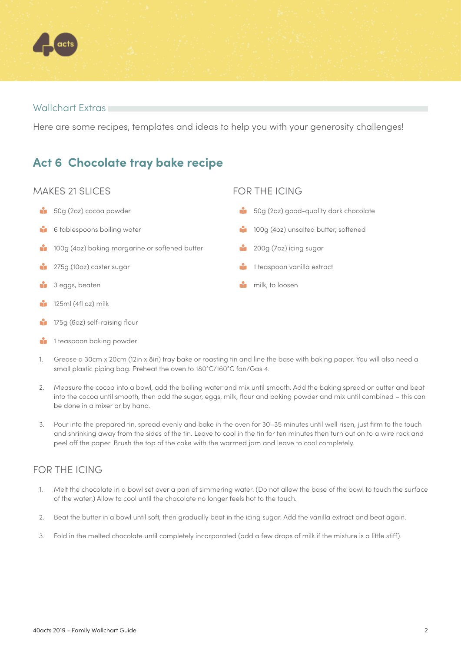

### Wallchart Extras

Here are some recipes, templates and ideas to help you with your generosity challenges!

## **Act 6 Chocolate tray bake recipe**

## MAKES 21 SLICES

- 60g (2oz) cocoa powder
- **is 6 tablespoons boiling water**
- <sup>1</sup> 100g (4oz) baking margarine or softened butter
- <sup>2</sup> 275g (10oz) caster sugar
- **1** 3 eggs, beaten
- $\frac{1}{2}$  125ml (4fl oz) milk
- 175g (6oz) self-raising flour
- **1** 1 teaspoon baking powder

## FOR THE ICING

- <sup>5</sup> 50g (2oz) good-quality dark chocolate
- <sup>1</sup> 100g (4oz) unsalted butter, softened
- <sup>2</sup> 200g (7oz) icing sugar
- **1** 1 teaspoon vanilla extract
- **n** milk, to loosen

- 1. Grease a 30cm x 20cm (12in x 8in) tray bake or roasting tin and line the base with baking paper. You will also need a small plastic piping bag. Preheat the oven to 180°C/160°C fan/Gas 4.
- 2. Measure the cocoa into a bowl, add the boiling water and mix until smooth. Add the baking spread or butter and beat into the cocoa until smooth, then add the sugar, eggs, milk, flour and baking powder and mix until combined – this can be done in a mixer or by hand.
- 3. Pour into the prepared tin, spread evenly and bake in the oven for 30–35 minutes until well risen, just firm to the touch and shrinking away from the sides of the tin. Leave to cool in the tin for ten minutes then turn out on to a wire rack and peel off the paper. Brush the top of the cake with the warmed jam and leave to cool completely.

## FOR THE ICING

- 1. Melt the chocolate in a bowl set over a pan of simmering water. (Do not allow the base of the bowl to touch the surface of the water.) Allow to cool until the chocolate no longer feels hot to the touch.
- 2. Beat the butter in a bowl until soft, then gradually beat in the icing sugar. Add the vanilla extract and beat again.
- 3. Fold in the melted chocolate until completely incorporated (add a few drops of milk if the mixture is a little stiff).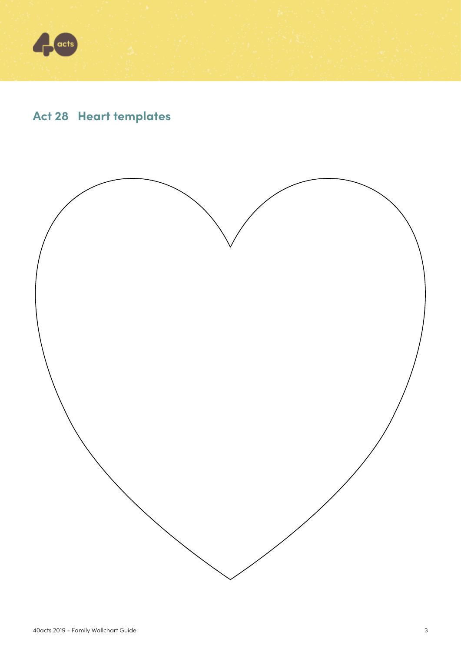

# **Act 28 Heart templates**

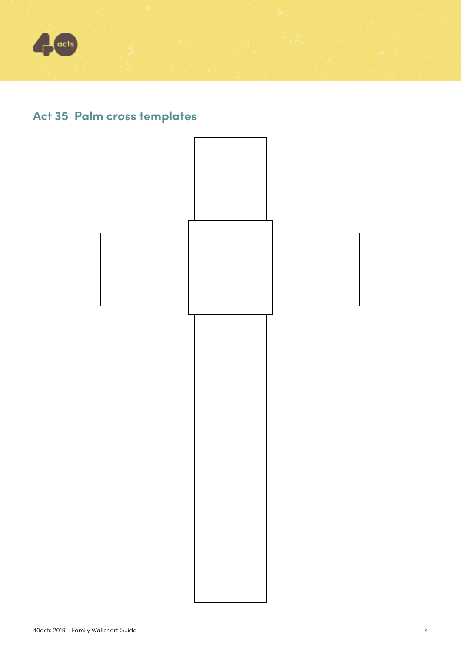

# **Act 35 Palm cross templates**